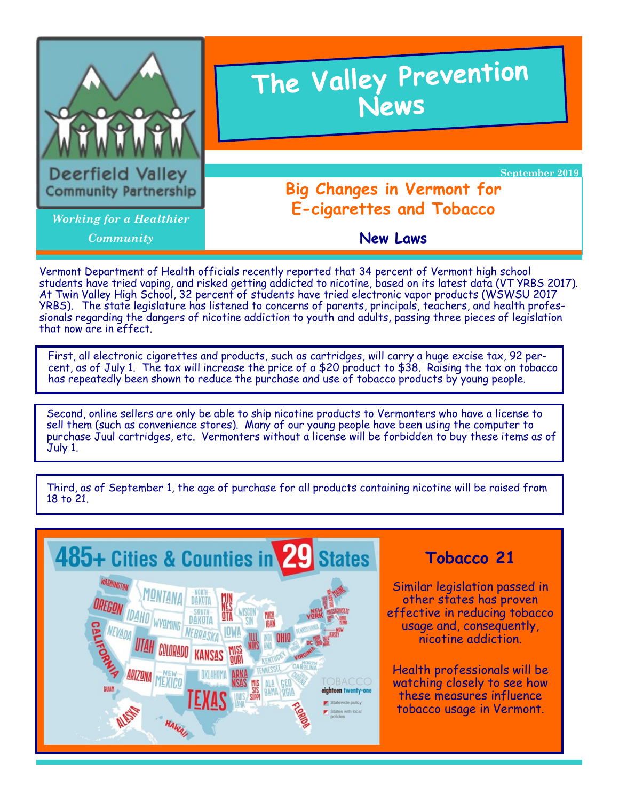

Vermont Department of Health officials recently reported that 34 percent of Vermont high school students have tried vaping, and risked getting addicted to nicotine, based on its latest data (VT YRBS 2017). At Twin Valley High School, 32 percent of students have tried electronic vapor products (WSWSU 2017 YRBS). The state legislature has listened to concerns of parents, principals, teachers, and health professionals regarding the dangers of nicotine addiction to youth and adults, passing three pieces of legislation that now are in effect.

First, all electronic cigarettes and products, such as cartridges, will carry a huge excise tax, 92 percent, as of July 1. The tax will increase the price of a \$20 product to \$38. Raising the tax on tobacco has repeatedly been shown to reduce the purchase and use of tobacco products by young people.

Second, online sellers are only be able to ship nicotine products to Vermonters who have a license to sell them (such as convenience stores). Many of our young people have been using the computer to purchase Juul cartridges, etc. Vermonters without a license will be forbidden to buy these items as of July 1.



Third, as of September 1, the age of purchase for all products containing nicotine will be raised from 18 to 21.

### **Tobacco 21**

Similar legislation passed in other states has proven effective in reducing tobacco usage and, consequently, nicotine addiction.

Health professionals will be watching closely to see how these measures influence tobacco usage in Vermont.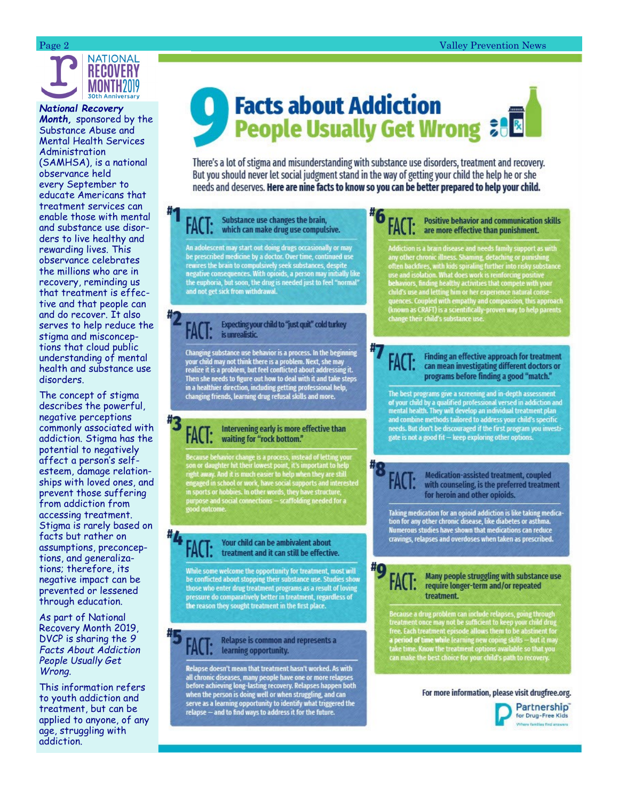

*National Recovery Month,* sponsored by the Substance Abuse and Mental Health Services Administration (SAMHSA), is a national observance held every September to educate Americans that treatment services can enable those with mental and substance use disorders to live healthy and rewarding lives. This observance celebrates the millions who are in recovery, reminding us that treatment is effective and that people can and do recover. It also serves to help reduce the stigma and misconceptions that cloud public

health and substance use disorders. The concept of stigma describes the powerful, negative perceptions commonly associated with addiction. Stigma has the potential to negatively affect a person 's self esteem, damage relationships with loved ones, and prevent those suffering from addiction from accessing treatment. Stigma is rarely based on facts but rather on assumptions, preconcep-

understanding of mental

tions, and generalizations; therefore, its negative impact can be prevented or lessened through education.

As part of National Recovery Month 2019, DVCP is sharing the *9 Facts About Addiction People Usually Get Wrong.* 

This information refers to youth addiction and treatment, but can be applied to anyone, of any age, struggling with addiction.

# **Facts about Addiction People Usually Get Wrong &B**

There's a lot of stigma and misunderstanding with substance use disorders, treatment and recovery. But you should never let social judgment stand in the way of getting your child the help he or she needs and deserves. Here are nine facts to know so you can be better prepared to help your child.

#### Substance use changes the brain, FAL I: which can make drug use compulsive.

An adolescent may start out doing drugs occasionally or may be prescribed medicine by a doctor. Over time, continued use<br>rewires the brain to compulsively seek substances, despite<br>negative consequences. With opioids, a person may initially like the euphoria, but soon, the drug is needed just to feel "normal"<br>and not get sick from withdrawal.

#### Expecting your child to "just quit" cold turkey is unrealistic.

Changing substance use behavior is a process. In the beginning<br>your child may not think there is a problem. Next, she may<br>realize it is a problem, but feel conflicted about addressing it.<br>Then she needs to figure out how t

#### Intervening early is more effective than FAC I: waiting for "rock bottom."

Because behavior change is a process, instead of letting your<br>son or daughter hit their lowest point, it's important to help<br>right away. And it is much easier to help when they are still<br>engaged in school or work, have soc

#### Your child can be ambivalent about FACT: treatment and it can still be effective.

While some welcome the opportunity for treatment, most will be conflicted about stopping their substance use. Studies show those who enter drug treatment programs as a result of loving pressure do comparatively better in treatment, regardless of the reason they sought treatment in the first place.

#### Relapse is common and represents a learning opportunity.

Relapse doesn't mean that treatment hasn't worked. As with all chronic diseases, many people have one or more relapses<br>before achieving long-lasting recovery. Relapses happen both when the person is doing well or when struggling, and can<br>serve as a learning opportunity to identify what triggered the<br>relapse — and to find ways to address it for the future.

#### **Positive behavior and communication skills** FACT: are more effective than punishment.

Addiction is a brain disease and needs family support as with<br>any other chronic illness. Shaming, detaching or punishing<br>often backfires, with kids spiraling further into risky substance<br>often backfires, with kids spiralin

#### Finding an effective approach for treatment can mean investigating different doctors or programs before finding a good "match."

The best programs give a screening and in-depth assessment of your child by a qualified professional versed in addiction and<br>mental health. They will develop an individual treatment plan<br>and combine methods tailored to address your child's specific needs. But don't be discouraged if the first program you investigate is not a good fit - keep exploring other options.

Medication-assisted treatment, coupled FACT: with counseling, is the preferred treatment for heroin and other opioids.

Taking medication for an opioid addiction is like taking medication for any other chronic disease, like diabetes or asthma. Numerous studies have shown that medications can reduce cravings, relapses and overdoses when taken as prescribed.

> Many people struggling with substance use require longer-term and/or repeated treatment.

Because a drug problem can include relapses, going through<br>treatment once may not be sufficient to keep your child drug<br>free. Each treatment episode allows them to be abstinent for<br>a period of time while learning new copin can make the best choice for your child's path to recovery.

#### For more information, please visit drugfree.org.

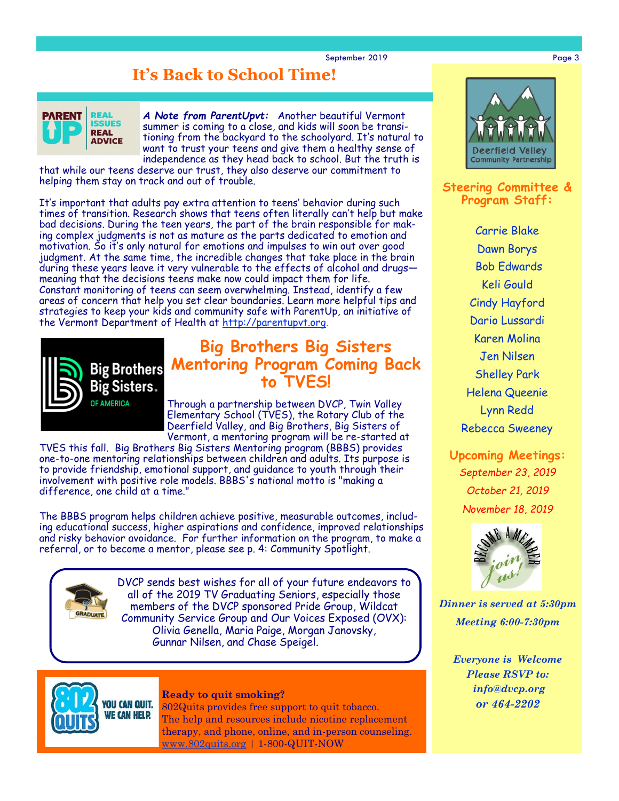September 2019 **Page 3** 

## **It's Back to School Time!**



*A Note from ParentUpvt:* Another beautiful Vermont summer is coming to a close, and kids will soon be transitioning from the backyard to the schoolyard. It's natural to want to trust your teens and give them a healthy sense of independence as they head back to school. But the truth is

that while our teens deserve our trust, they also deserve our commitment to helping them stay on track and out of trouble.

It's important that adults pay extra attention to teens' behavior during such times of transition. Research shows that teens often literally can't help but make bad decisions. During the teen years, the part of the brain responsible for making complex judgments is not as mature as the parts dedicated to emotion and motivation. So it's only natural for emotions and impulses to win out over good judgment. At the same time, the incredible changes that take place in the brain during these years leave it very vulnerable to the effects of alcohol and drugs meaning that the decisions teens make now could impact them for life. Constant monitoring of teens can seem overwhelming. Instead, identify a few areas of concern that help you set clear boundaries. Learn more helpful tips and strategies to keep your kids and community safe with ParentUp, an initiative of the Vermont Department of Health at [http://parentupvt.org.](http://parentupvt.org/)



### **Big Brothers Big Sisters Mentoring Program Coming Back to TVES!**

Through a partnership between DVCP, Twin Valley Elementary School (TVES), the Rotary Club of the Deerfield Valley, and Big Brothers, Big Sisters of Vermont, a mentoring program will be re-started at

TVES this fall. Big Brothers Big Sisters Mentoring program (BBBS) provides one-to-one mentoring relationships between children and adults. Its purpose is to provide friendship, emotional support, and guidance to youth through their involvement with positive role models. BBBS's national motto is "making a difference, one child at a time."

The BBBS program helps children achieve positive, measurable outcomes, including educational success, higher aspirations and confidence, improved relationships and risky behavior avoidance. For further information on the program, to make a referral, or to become a mentor, please see p. 4: Community Spotlight.



DVCP sends best wishes for all of your future endeavors to all of the 2019 TV Graduating Seniors, especially those members of the DVCP sponsored Pride Group, Wildcat Community Service Group and Our Voices Exposed (OVX): Olivia Genella, Maria Paige, Morgan Janovsky, Gunnar Nilsen, and Chase Speigel.



### **Ready to quit smoking?**

802Quits provides free support to quit tobacco. The help and resources include nicotine replacement therapy, and phone, online, and in-person counseling. [www.802quits.org](http://802quits.org/) | 1-800-QUIT-NOW



#### **Steering Committee & Program Staff:**

Carrie Blake Dawn Borys Bob Edwards Keli Gould Cindy Hayford Dario Lussardi Karen Molina Jen Nilsen Shelley Park Helena Queenie Lynn Redd Rebecca Sweeney

**Upcoming Meetings:** *September 23, 2019 October 21, 2019 November 18, 2019*



*Dinner is served at 5:30pm Meeting 6:00-7:30pm*

> *Everyone is Welcome Please RSVP to: info@dvcp.org or 464-2202*